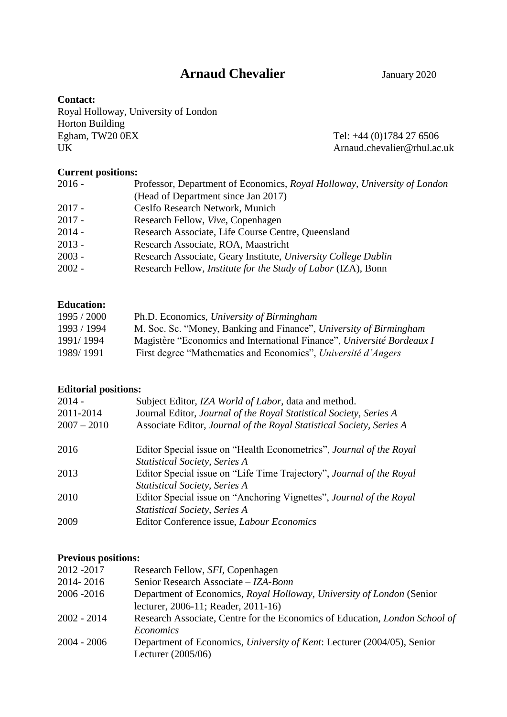# **Arnaud Chevalier January 2020**

# **Contact:**

Royal Holloway, University of London Horton Building<br>Egham, TW20 0EX Egham, TW20 0EX Tel: +44 (0)1784 27 6506<br>UK Arnaud.chevalier@rhul.ac

Arnaud.chevalier@rhul.ac.uk

# **Current positions:**

| $2016 -$ | Professor, Department of Economics, Royal Holloway, University of London |
|----------|--------------------------------------------------------------------------|
|          | (Head of Department since Jan 2017)                                      |
| $2017 -$ | CesIfo Research Network, Munich                                          |
| $2017 -$ | Research Fellow, Vive, Copenhagen                                        |
| $2014 -$ | Research Associate, Life Course Centre, Queensland                       |
| $2013 -$ | Research Associate, ROA, Maastricht                                      |
| $2003 -$ | Research Associate, Geary Institute, University College Dublin           |
| $2002 -$ | Research Fellow, <i>Institute for the Study of Labor</i> (IZA), Bonn     |
|          |                                                                          |

# **Education:**

| 1995 / 2000 | Ph.D. Economics, University of Birmingham                              |
|-------------|------------------------------------------------------------------------|
| 1993 / 1994 | M. Soc. Sc. "Money, Banking and Finance", University of Birmingham     |
| 1991/1994   | Magistère "Economics and International Finance", Université Bordeaux I |
| 1989/1991   | First degree "Mathematics and Economics", Université d'Angers          |

# **Editorial positions:**

| 2014 -<br>2011-2014<br>$2007 - 2010$ | Subject Editor, IZA World of Labor, data and method.<br>Journal Editor, Journal of the Royal Statistical Society, Series A<br>Associate Editor, Journal of the Royal Statistical Society, Series A |
|--------------------------------------|----------------------------------------------------------------------------------------------------------------------------------------------------------------------------------------------------|
| 2016                                 | Editor Special issue on "Health Econometrics", Journal of the Royal                                                                                                                                |
|                                      | <b>Statistical Society, Series A</b>                                                                                                                                                               |
| 2013                                 | Editor Special issue on "Life Time Trajectory", Journal of the Royal                                                                                                                               |
|                                      | <b>Statistical Society, Series A</b>                                                                                                                                                               |
| 2010                                 | Editor Special issue on "Anchoring Vignettes", <i>Journal of the Royal</i>                                                                                                                         |
|                                      | <b>Statistical Society, Series A</b>                                                                                                                                                               |
| 2009                                 | Editor Conference issue, Labour Economics                                                                                                                                                          |
|                                      |                                                                                                                                                                                                    |

# **Previous positions:**

| Department of Economics, Royal Holloway, University of London (Senior              |
|------------------------------------------------------------------------------------|
|                                                                                    |
| Research Associate, Centre for the Economics of Education, <i>London School of</i> |
|                                                                                    |
| Department of Economics, University of Kent: Lecturer (2004/05), Senior            |
|                                                                                    |
|                                                                                    |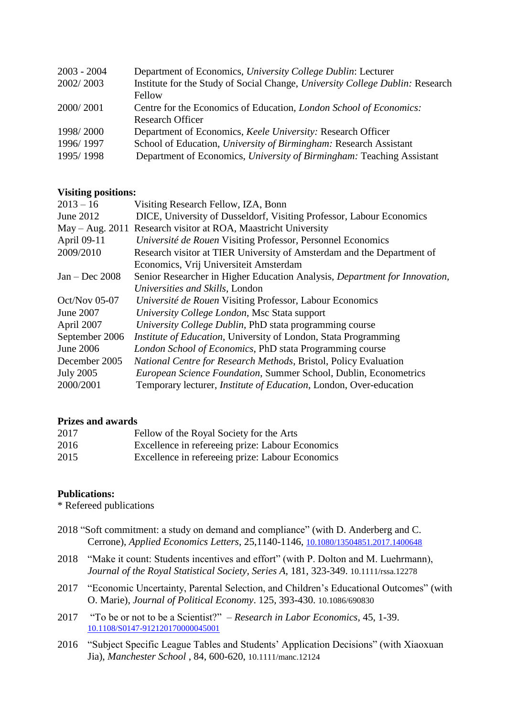| Department of Economics, University College Dublin: Lecturer<br>$2003 - 2004$              |  |
|--------------------------------------------------------------------------------------------|--|
| Institute for the Study of Social Change, University College Dublin: Research<br>2002/2003 |  |
| Fellow                                                                                     |  |
| Centre for the Economics of Education, London School of Economics:<br>2000/2001            |  |
| <b>Research Officer</b>                                                                    |  |
| Department of Economics, Keele University: Research Officer<br>1998/2000                   |  |
| School of Education, University of Birmingham: Research Assistant<br>1996/1997             |  |
| 1995/1998<br>Department of Economics, University of Birmingham: Teaching Assistant         |  |

# **Visiting positions:**

| $2013 - 16$      | Visiting Research Fellow, IZA, Bonn                                        |
|------------------|----------------------------------------------------------------------------|
| June 2012        | DICE, University of Dusseldorf, Visiting Professor, Labour Economics       |
|                  | May – Aug. 2011 Research visitor at ROA, Maastricht University             |
| April 09-11      | Université de Rouen Visiting Professor, Personnel Economics                |
| 2009/2010        | Research visitor at TIER University of Amsterdam and the Department of     |
|                  | Economics, Vrij Universiteit Amsterdam                                     |
| $Jan - Dec$ 2008 | Senior Researcher in Higher Education Analysis, Department for Innovation, |
|                  | Universities and Skills, London                                            |
| $Oct/Nov$ 05-07  | Université de Rouen Visiting Professor, Labour Economics                   |
| June 2007        | University College London, Msc Stata support                               |
| April 2007       | University College Dublin, PhD stata programming course                    |
| September 2006   | <i>Institute of Education</i> , University of London, Stata Programming    |
| June 2006        | London School of Economics, PhD stata Programming course                   |
| December 2005    | National Centre for Research Methods, Bristol, Policy Evaluation           |
| <b>July 2005</b> | European Science Foundation, Summer School, Dublin, Econometrics           |
| 2000/2001        | Temporary lecturer, <i>Institute of Education</i> , London, Over-education |
|                  |                                                                            |

### **Prizes and awards**

| 2017 | Fellow of the Royal Society for the Arts         |
|------|--------------------------------------------------|
| 2016 | Excellence in refereeing prize: Labour Economics |
| 2015 | Excellence in refereeing prize: Labour Economics |

### **Publications:**

\* Refereed publications

- 2018 "Soft commitment: a study on demand and compliance" (with D. Anderberg and C. Cerrone), *Applied Economics Letters*, 25,1140-1146, [10.1080/13504851.2017.1400648](https://doi.org/10.1080/13504851.2017.1400648)
- 2018 "Make it count: Students incentives and effort" (with P. Dolton and M. Luehrmann), *Journal of the Royal Statistical Society, Series A,* 181, 323-349. 10.1111/rssa.12278
- 2017 "Economic Uncertainty, Parental Selection, and Children's Educational Outcomes" (with O. Marie), *Journal of Political Economy*. 125, 393-430. 10.1086/690830
- 2017 "To be or not to be a Scientist?" *Research in Labor Economics,* 45, 1-39. [10.1108/S0147-912120170000045001](https://doi.org/10.1108/S0147-912120170000045001)
- 2016 "Subject Specific League Tables and Students' Application Decisions" (with Xiaoxuan Jia), *Manchester School* , 84, 600-620, 10.1111/manc.12124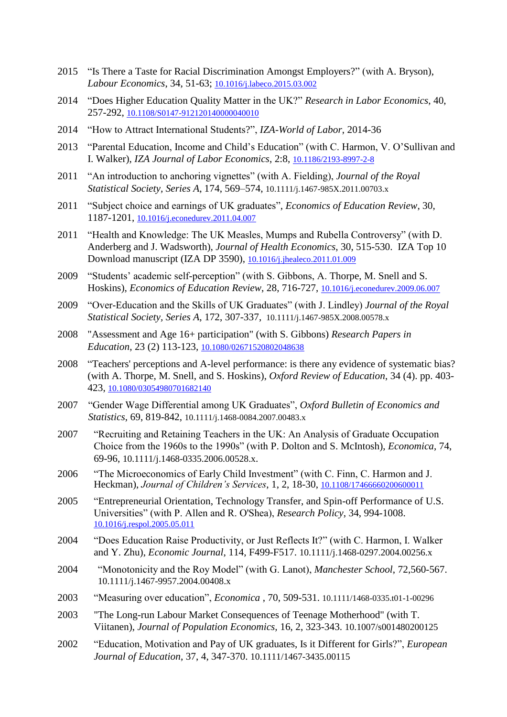- 2015 "Is There a Taste for Racial Discrimination Amongst Employers?" (with A. Bryson), *Labour Economics*, 34, 51-63; [10.1016/j.labeco.2015.03.002](https://doi.org/10.1016/j.labeco.2015.03.002)
- 2014 "Does Higher Education Quality Matter in the UK?" *Research in Labor Economics*, 40, 257-292, [10.1108/S0147-912120140000040010](http://dx.doi.org/10.1108/S0147-912120140000040010)
- 2014 "How to Attract International Students?", *IZA-World of Labor*, 2014-36
- 2013 "Parental Education, Income and Child's Education" (with C. Harmon, V. O'Sullivan and I. Walker), *IZA Journal of Labor Economics*, 2:8, [10.1186/2193-8997-2-8](https://doi.org/10.1186/2193-8997-2-8)
- 2011 "An introduction to anchoring vignettes" (with A. Fielding), *Journal of the Royal Statistical Society, Series A*, 174, 569–574, 10.1111/j.1467-985X.2011.00703.x
- 2011 "Subject choice and earnings of UK graduates", *Economics of Education Review*, 30, 1187-1201, [10.1016/j.econedurev.2011.04.007](https://doi.org/10.1016/j.econedurev.2011.04.007)
- 2011 "Health and Knowledge: The UK Measles, Mumps and Rubella Controversy" (with D. Anderberg and J. Wadsworth), *Journal of Health Economics*, 30, 515-530. IZA Top 10 Download manuscript (IZA DP 3590), [10.1016/j.jhealeco.2011.01.009](https://doi.org/10.1016/j.jhealeco.2011.01.009)
- 2009 "Students' academic self-perception" (with S. Gibbons, A. Thorpe, M. Snell and S. Hoskins), *Economics of Education Review*, 28, 716-727, [10.1016/j.econedurev.2009.06.007](https://doi.org/10.1016/j.econedurev.2009.06.007)
- 2009 "Over-Education and the Skills of UK Graduates" (with J. Lindley) *Journal of the Royal Statistical Society, Series A*, 172, 307-337, 10.1111/j.1467-985X.2008.00578.x
- 2008 "Assessment and Age 16+ participation" (with S. Gibbons) *Research Papers in Education*, 23 (2) 113-123, [10.1080/02671520802048638](https://doi.org/10.1080/02671520802048638)
- 2008 ["Teachers' perceptions and A-level performance: is there any evidence of systematic bias?](http://eprints.port.ac.uk/1787/) (with A. Thorpe, M. Snell, and S. Hoskins), *Oxford Review of Education*, 34 (4). pp. 403- 423, [10.1080/03054980701682140](https://doi.org/10.1080/03054980701682140)
- 2007 "Gender Wage Differential among UK Graduates", *Oxford Bulletin of Economics and Statistics*, 69, 819-842, 10.1111/j.1468-0084.2007.00483.x
- 2007 "Recruiting and Retaining Teachers in the UK: An Analysis of Graduate Occupation Choice from the 1960s to the 1990s" (with P. Dolton and S. McIntosh), *Economica*, 74, 69-96, 10.1111/j.1468-0335.2006.00528.x.
- 2006 "The Microeconomics of Early Child Investment" (with C. Finn, C. Harmon and J. Heckman), *Journal of Children's Services*, 1, 2, 18-30, [10.1108/17466660200600011](https://doi.org/10.1108/17466660200600011)
- 2005 "Entrepreneurial Orientation, Technology Transfer, and Spin-off Performance of U.S. Universities" (with P. Allen and R. O'Shea), *Research Policy*, 34, 994-1008. [10.1016/j.respol.2005.05.011](https://doi.org/10.1016/j.respol.2005.05.011)
- 2004 "Does Education Raise Productivity, or Just Reflects It?" (with C. Harmon, I. Walker and Y. Zhu), *Economic Journal*, 114, F499-F517. 10.1111/j.1468-0297.2004.00256.x
- 2004 "Monotonicity and the Roy Model" (with G. Lanot), *Manchester School*, 72,560-567. 10.1111/j.1467-9957.2004.00408.x
- 2003 "Measuring over education", *Economica* , 70, 509-531. 10.1111/1468-0335.t01-1-00296
- 2003 "The Long-run Labour Market Consequences of Teenage Motherhood" (with T. Viitanen), *Journal of Population Economics,* 16, 2, 323-343. 10.1007/s001480200125
- 2002 "Education, Motivation and Pay of UK graduates, Is it Different for Girls?", *European Journal of Education*, 37, 4, 347-370. 10.1111/1467-3435.00115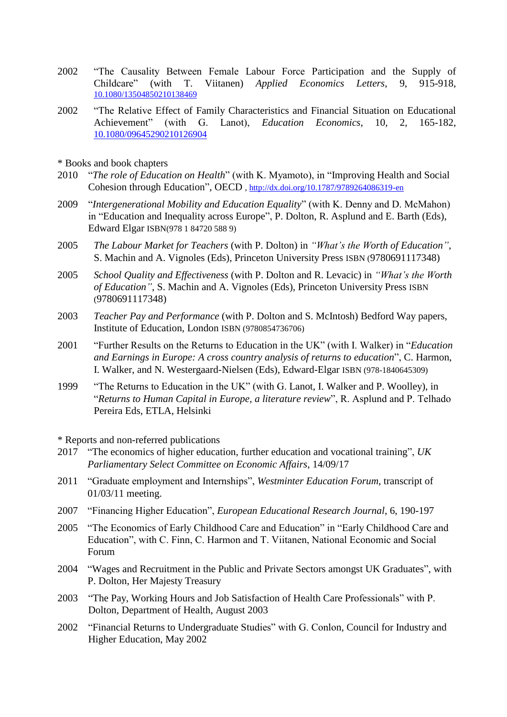- 2002 "The Causality Between Female Labour Force Participation and the Supply of Childcare" (with T. Viitanen) *Applied Economics Letters*, 9, 915-918, [10.1080/13504850210138469](https://doi.org/10.1080/13504850210138469)
- 2002 "The Relative Effect of Family Characteristics and Financial Situation on Educational Achievement" (with G. Lanot), *Education Economics*, 10, 2, 165-182, [10.1080/09645290210126904](https://doi.org/10.1080/09645290210126904)
- \* Books and book chapters
- 2010 "*The role of Education on Health*" (with K. Myamoto), in "Improving Health and Social Cohesion through Education", OECD [, http://dx.doi.org/10.1787/9789264086319-en](http://dx.doi.org/10.1787/9789264086319-en)
- 2009 "*Intergenerational Mobility and Education Equality*" (with K. Denny and D. McMahon) in "Education and Inequality across Europe", P. Dolton, R. Asplund and E. Barth (Eds), Edward Elgar ISBN(978 1 84720 588 9)
- 2005 *The Labour Market for Teachers* (with P. Dolton) in *"What's the Worth of Education"*, S. Machin and A. Vignoles (Eds), Princeton University Press ISBN (9780691117348)
- 2005 *School Quality and Effectiveness* (with P. Dolton and R. Levacic) in *"What's the Worth of Education"*, S. Machin and A. Vignoles (Eds), Princeton University Press ISBN (9780691117348)
- 2003 *Teacher Pay and Performance* (with P. Dolton and S. McIntosh) Bedford Way papers, Institute of Education, London ISBN (9780854736706)
- 2001 "Further Results on the Returns to Education in the UK" (with I. Walker) in "*Education and Earnings in Europe: A cross country analysis of returns to education*", C. Harmon, I. Walker, and N. Westergaard-Nielsen (Eds), Edward-Elgar ISBN (978-1840645309)
- 1999 "The Returns to Education in the UK" (with G. Lanot, I. Walker and P. Woolley), in "*Returns to Human Capital in Europe, a literature review*", R. Asplund and P. Telhado Pereira Eds, ETLA, Helsinki

\* Reports and non-referred publications

- 2017 "The economics of higher education, further education and vocational training", *UK Parliamentary Select Committee on Economic Affairs*, 14/09/17
- 2011 "Graduate employment and Internships", *Westminter Education Forum*, transcript of 01/03/11 meeting.
- 2007 "Financing Higher Education", *European Educational Research Journal*, 6, 190-197
- 2005 "The Economics of Early Childhood Care and Education" in "Early Childhood Care and Education", with C. Finn, C. Harmon and T. Viitanen, National Economic and Social Forum
- 2004 "Wages and Recruitment in the Public and Private Sectors amongst UK Graduates", with P. Dolton, Her Majesty Treasury
- 2003 "The Pay, Working Hours and Job Satisfaction of Health Care Professionals" with P. Dolton, Department of Health, August 2003
- 2002 "Financial Returns to Undergraduate Studies" with G. Conlon, Council for Industry and Higher Education, May 2002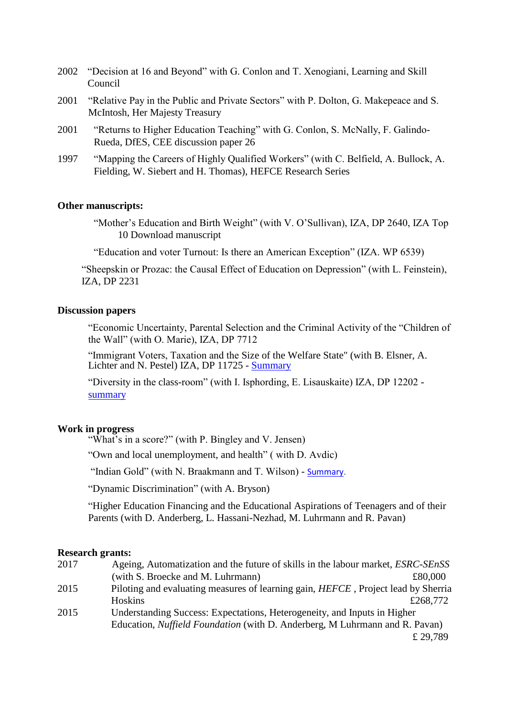|      | 2002 "Decision at 16 and Beyond" with G. Conlon and T. Xenogiani, Learning and Skill<br>Council                                                   |
|------|---------------------------------------------------------------------------------------------------------------------------------------------------|
| 2001 | "Relative Pay in the Public and Private Sectors" with P. Dolton, G. Makepeace and S.<br>McIntosh, Her Majesty Treasury                            |
| 2001 | "Returns to Higher Education Teaching" with G. Conlon, S. McNally, F. Galindo-<br>Rueda, DfES, CEE discussion paper 26                            |
| 1997 | "Mapping the Careers of Highly Qualified Workers" (with C. Belfield, A. Bullock, A.<br>Fielding, W. Siebert and H. Thomas), HEFCE Research Series |

#### **Other manuscripts:**

"Mother's Education and Birth Weight" (with V. O'Sullivan), IZA, DP 2640, IZA Top 10 Download manuscript

"Education and voter Turnout: Is there an American Exception" (IZA. WP 6539)

"Sheepskin or Prozac: the Causal Effect of Education on Depression" (with L. Feinstein), IZA, DP 2231

#### **Discussion papers**

"Economic Uncertainty, Parental Selection and the Criminal Activity of the "Children of the Wall" (with O. Marie), IZA, DP 7712

"Immigrant Voters, Taxation and the Size of the Welfare State" (with B. Elsner, A. Lichter and N. Pestel) IZA, DP 11725 - [Summary](https://www.res.org.uk/resources-page/effects-of-mass-migration-on-taxes---redistribution--evidence-from-post-war-germany.html)

"Diversity in the class-room" (with I. Isphording, E. Lisauskaite) IZA, DP 12202 [summary](https://newsroom.iza.org/en/archive/research/peer-diversity-and-college-performance/)

#### **Work in progress**

"What's in a score?" (with P. Bingley and V. Jensen)

"Own and local unemployment, and health" ( with D. Avdic)

"Indian Gold" (with N. Braakmann and T. Wilson) - [Summary.](https://www.res.org.uk/resources-page/asian-gold-expected-returns-to-crime-and-thieves-behaviour.html)

"Dynamic Discrimination" (with A. Bryson)

"Higher Education Financing and the Educational Aspirations of Teenagers and of their Parents (with D. Anderberg, L. Hassani-Nezhad, M. Luhrmann and R. Pavan)

#### **Research grants:**

| 2017 | Ageing, Automatization and the future of skills in the labour market, <i>ESRC-SEnSS</i>   |
|------|-------------------------------------------------------------------------------------------|
|      | (with S. Broecke and M. Luhrmann)<br>£80,000                                              |
| 2015 | Piloting and evaluating measures of learning gain, <i>HEFCE</i> , Project lead by Sherria |
|      | Hoskins<br>£268,772                                                                       |
| 2015 | Understanding Success: Expectations, Heterogeneity, and Inputs in Higher                  |
|      | Education, <i>Nuffield Foundation</i> (with D. Anderberg, M Luhrmann and R. Pavan)        |
|      | £29.789                                                                                   |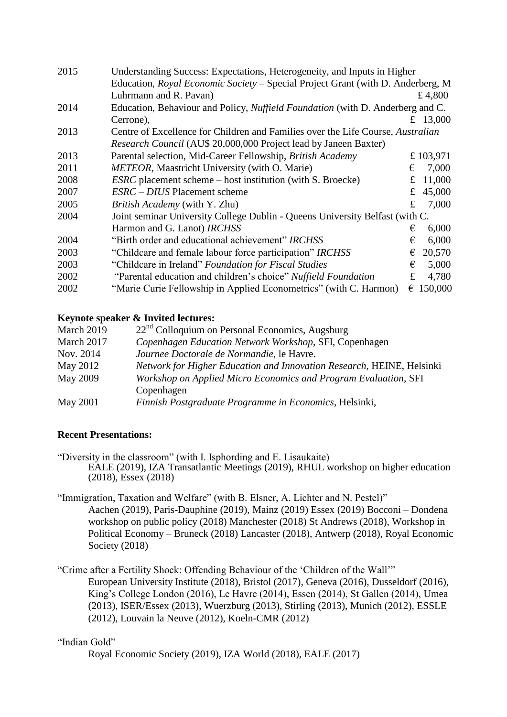| 2015 | Understanding Success: Expectations, Heterogeneity, and Inputs in Higher        |    |          |
|------|---------------------------------------------------------------------------------|----|----------|
|      | Education, Royal Economic Society - Special Project Grant (with D. Anderberg, M |    |          |
|      | Luhrmann and R. Pavan)                                                          |    | £ 4,800  |
| 2014 | Education, Behaviour and Policy, Nuffield Foundation (with D. Anderberg and C.  |    |          |
|      | Cerrone),                                                                       |    | 13,000   |
| 2013 | Centre of Excellence for Children and Families over the Life Course, Australian |    |          |
|      | Research Council (AU\$ 20,000,000 Project lead by Janeen Baxter)                |    |          |
| 2013 | Parental selection, Mid-Career Fellowship, British Academy                      |    | £103,971 |
| 2011 | <b>METEOR</b> , Maastricht University (with O. Marie)                           | €  | 7,000    |
| 2008 | <i>ESRC</i> placement scheme – host institution (with S. Broecke)               | £  | 11,000   |
| 2007 | <i>ESRC – DIUS</i> Placement scheme                                             | £  | 45,000   |
| 2005 | <i>British Academy</i> (with Y. Zhu)                                            | £. | 7,000    |
| 2004 | Joint seminar University College Dublin - Queens University Belfast (with C.    |    |          |
|      | Harmon and G. Lanot) IRCHSS                                                     | €  | 6,000    |
| 2004 | "Birth order and educational achievement" IRCHSS                                | €  | 6,000    |
| 2003 | "Childcare and female labour force participation" IRCHSS                        | €  | 20,570   |
| 2003 | "Childcare in Ireland" Foundation for Fiscal Studies                            | €  | 5,000    |
| 2002 | "Parental education and children's choice" Nuffield Foundation                  | £  | 4,780    |
| 2002 | "Marie Curie Fellowship in Applied Econometrics" (with C. Harmon)               | €  | 150,000  |

# **Keynote speaker & Invited lectures:**

| March 2019      | $22nd$ Colloquium on Personal Economics, Augsburg                     |
|-----------------|-----------------------------------------------------------------------|
| March 2017      | Copenhagen Education Network Workshop, SFI, Copenhagen                |
| Nov. 2014       | Journee Doctorale de Normandie, le Havre.                             |
| May 2012        | Network for Higher Education and Innovation Research, HEINE, Helsinki |
| May 2009        | Workshop on Applied Micro Economics and Program Evaluation, SFI       |
|                 | Copenhagen                                                            |
| <b>May 2001</b> | Finnish Postgraduate Programme in Economics, Helsinki,                |

# **Recent Presentations:**

"Diversity in the classroom" (with I. Isphording and E. Lisaukaite) EALE (2019), IZA Transatlantic Meetings (2019), RHUL workshop on higher education (2018), Essex (2018)

"Immigration, Taxation and Welfare" (with B. Elsner, A. Lichter and N. Pestel)" Aachen (2019), Paris-Dauphine (2019), Mainz (2019) Essex (2019) Bocconi – Dondena workshop on public policy (2018) Manchester (2018) St Andrews (2018), Workshop in Political Economy – Bruneck (2018) Lancaster (2018), Antwerp (2018), Royal Economic Society (2018)

"Crime after a Fertility Shock: Offending Behaviour of the 'Children of the Wall'" European University Institute (2018), Bristol (2017), Geneva (2016), Dusseldorf (2016), King's College London (2016), Le Havre (2014), Essen (2014), St Gallen (2014), Umea (2013), ISER/Essex (2013), Wuerzburg (2013), Stirling (2013), Munich (2012), ESSLE (2012), Louvain la Neuve (2012), Koeln-CMR (2012)

# "Indian Gold"

Royal Economic Society (2019), IZA World (2018), EALE (2017)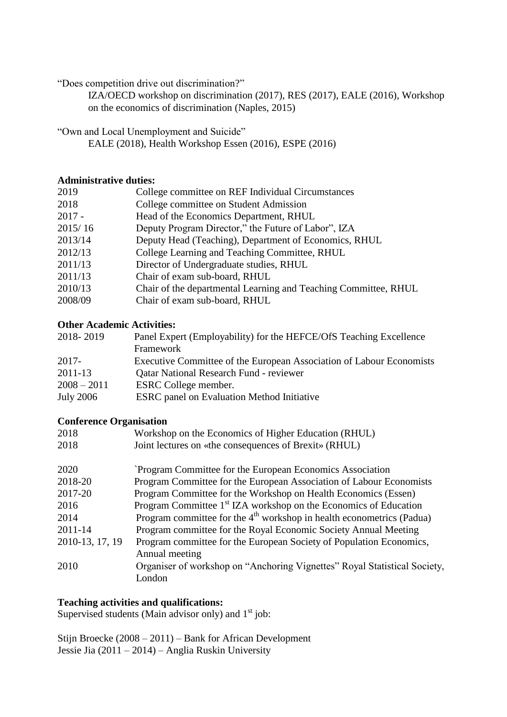"Does competition drive out discrimination?"

IZA/OECD workshop on discrimination (2017), RES (2017), EALE (2016), Workshop on the economics of discrimination (Naples, 2015)

"Own and Local Unemployment and Suicide"

EALE (2018), Health Workshop Essen (2016), ESPE (2016)

### **Administrative duties:**

| College committee on REF Individual Circumstances               |
|-----------------------------------------------------------------|
| College committee on Student Admission                          |
| Head of the Economics Department, RHUL                          |
| Deputy Program Director," the Future of Labor", IZA             |
| Deputy Head (Teaching), Department of Economics, RHUL           |
| College Learning and Teaching Committee, RHUL                   |
| Director of Undergraduate studies, RHUL                         |
| Chair of exam sub-board, RHUL                                   |
| Chair of the departmental Learning and Teaching Committee, RHUL |
| Chair of exam sub-board, RHUL                                   |
|                                                                 |

# **Other Academic Activities:**

| 2018-2019        | Panel Expert (Employability) for the HEFCE/OfS Teaching Excellence   |
|------------------|----------------------------------------------------------------------|
|                  | Framework                                                            |
| 2017-            | Executive Committee of the European Association of Labour Economists |
| 2011-13          | <b>Qatar National Research Fund - reviewer</b>                       |
| $2008 - 2011$    | ESRC College member.                                                 |
| <b>July 2006</b> | <b>ESRC</b> panel on Evaluation Method Initiative                    |

# **Conference Organisation**

| Workshop on the Economics of Higher Education (RHUL)                                  |
|---------------------------------------------------------------------------------------|
| Joint lectures on «the consequences of Brexit» (RHUL)                                 |
| Program Committee for the European Economics Association                              |
| Program Committee for the European Association of Labour Economists                   |
| Program Committee for the Workshop on Health Economics (Essen)                        |
| Program Committee 1 <sup>st</sup> IZA workshop on the Economics of Education          |
| Program committee for the $4th$ workshop in health econometrics (Padua)               |
| Program committee for the Royal Economic Society Annual Meeting                       |
| Program committee for the European Society of Population Economics,<br>Annual meeting |
| Organiser of workshop on "Anchoring Vignettes" Royal Statistical Society,<br>London   |
|                                                                                       |

### **Teaching activities and qualifications:**

Supervised students (Main advisor only) and  $1<sup>st</sup>$  job:

Stijn Broecke (2008 – 2011) – Bank for African Development Jessie Jia (2011 – 2014) – Anglia Ruskin University